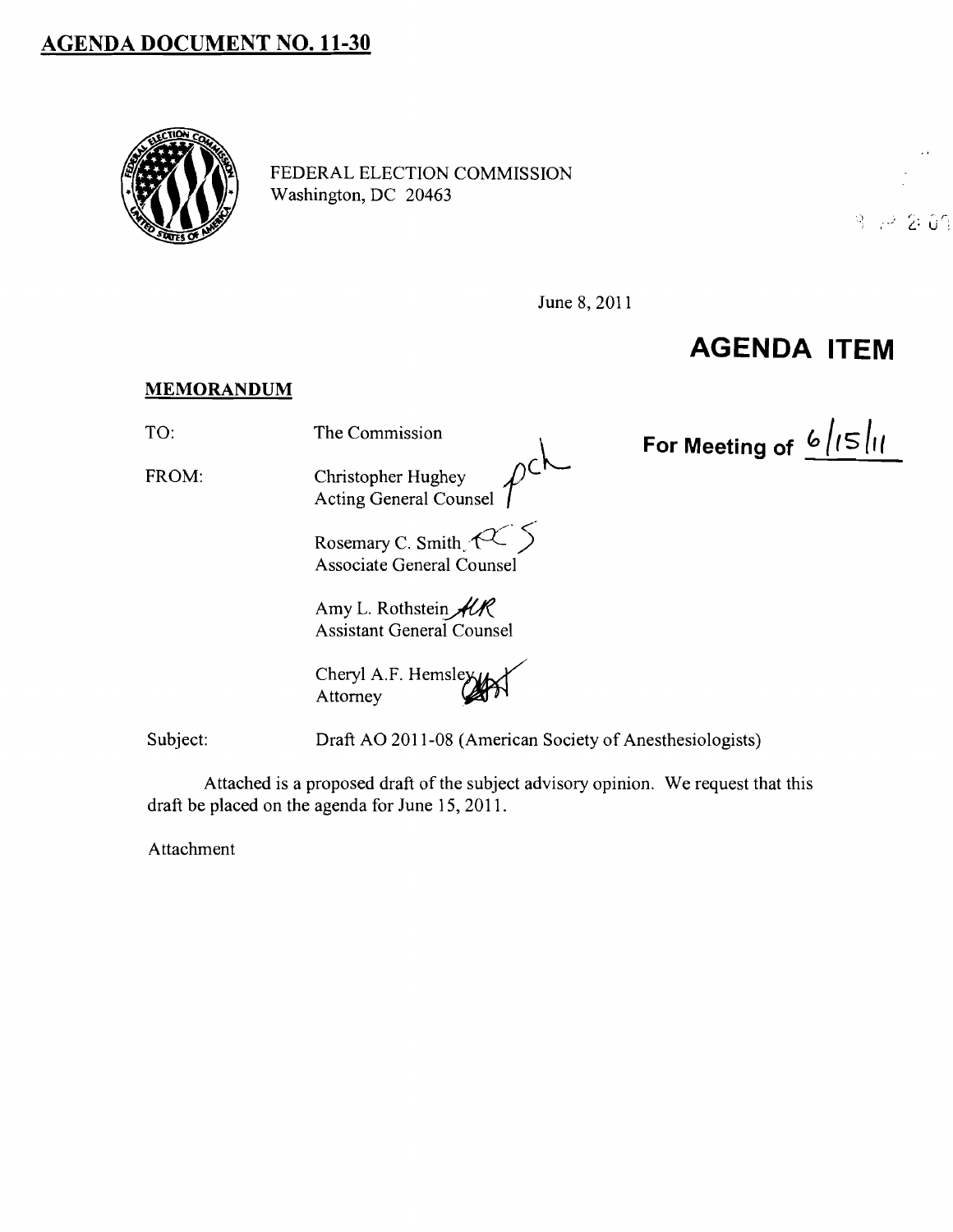## **AGENDA DOCUMENT NO. 11-30**



FEDERAL ELECTION COMMISSION Washington, DC 20463



June 8, 2011

 $\overline{\mathbf{L}}$ 

## **AGENDA ITEM**

For Meeting of  $\frac{6}{5}$  /(5 | 1

## **MEMORANDUM**

TO: The Commission

FROM:

Christopher Hughey Acting General Counsel

Rosemary C. Smith.  $\mathcal{C}$ Associate General Counsel

Amy L. Rothstein  $AR$ Assistant General Counsel

Cheryl A.F. Hemsley Attorney

Subject: Draft AO 2011-08 (American Society of Anesthesiologists)

Attached is a proposed draft of the subject advisory opinion. We request that this draft be placed on the agenda for June 15, 2011.

Attachment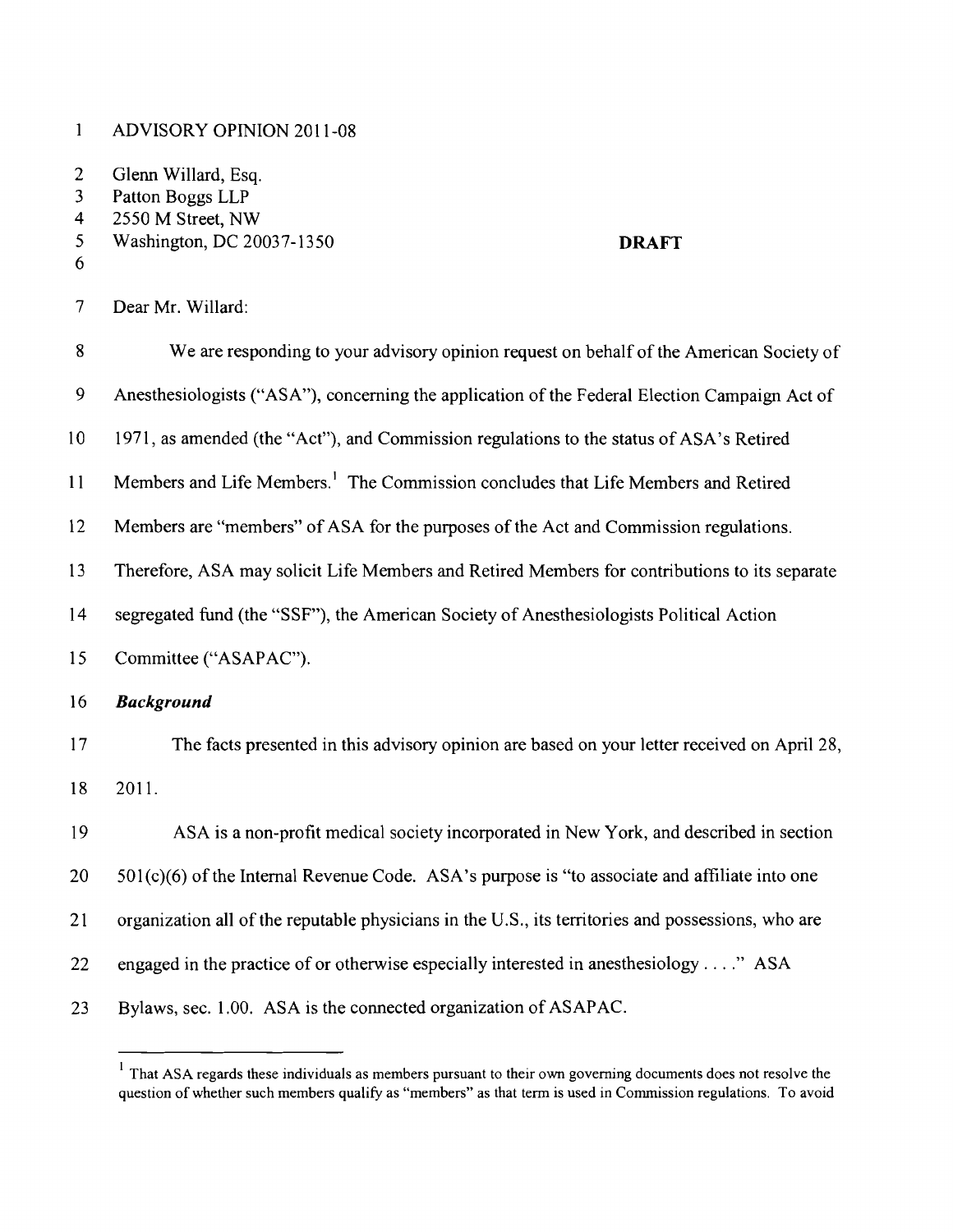$\mathbf{1}$ ADVISORY OPINION 2011-08

2 Glenn Willard, Esq.<br>3 Patton Boggs LLP

- 3 Patton Boggs LLP<br>4 2550 M Street, NW
- 
- 4 2550 M Street, NW<br>5 Washington, DC 20 5 Washington, DC 20037-1350 **DRAFT**
- 6

7 Dear Mr. Willard:

| $8\,$           | We are responding to your advisory opinion request on behalf of the American Society of            |
|-----------------|----------------------------------------------------------------------------------------------------|
| 9               | Anesthesiologists ("ASA"), concerning the application of the Federal Election Campaign Act of      |
| 10 <sup>°</sup> | 1971, as amended (the "Act"), and Commission regulations to the status of ASA's Retired            |
| 11              | Members and Life Members. <sup>1</sup> The Commission concludes that Life Members and Retired      |
| 12              | Members are "members" of ASA for the purposes of the Act and Commission regulations.               |
| 13              | Therefore, ASA may solicit Life Members and Retired Members for contributions to its separate      |
| 14              | segregated fund (the "SSF"), the American Society of Anesthesiologists Political Action            |
| 15              | Committee ("ASAPAC").                                                                              |
| 16              | <b>Background</b>                                                                                  |
| 17              | The facts presented in this advisory opinion are based on your letter received on April 28,        |
| 18              | 2011.                                                                                              |
| 19              | ASA is a non-profit medical society incorporated in New York, and described in section             |
| 20              | 501(c)(6) of the Internal Revenue Code. ASA's purpose is "to associate and affiliate into one      |
| 21              | organization all of the reputable physicians in the U.S., its territories and possessions, who are |
| 22              | engaged in the practice of or otherwise especially interested in anesthesiology" ASA               |
| 23              | Bylaws, sec. 1.00. ASA is the connected organization of ASAPAC.                                    |

 $1$  That ASA regards these individuals as members pursuant to their own governing documents does not resolve the question of whether such members qualify as "members" as that term is used in Commission regulations. To avoid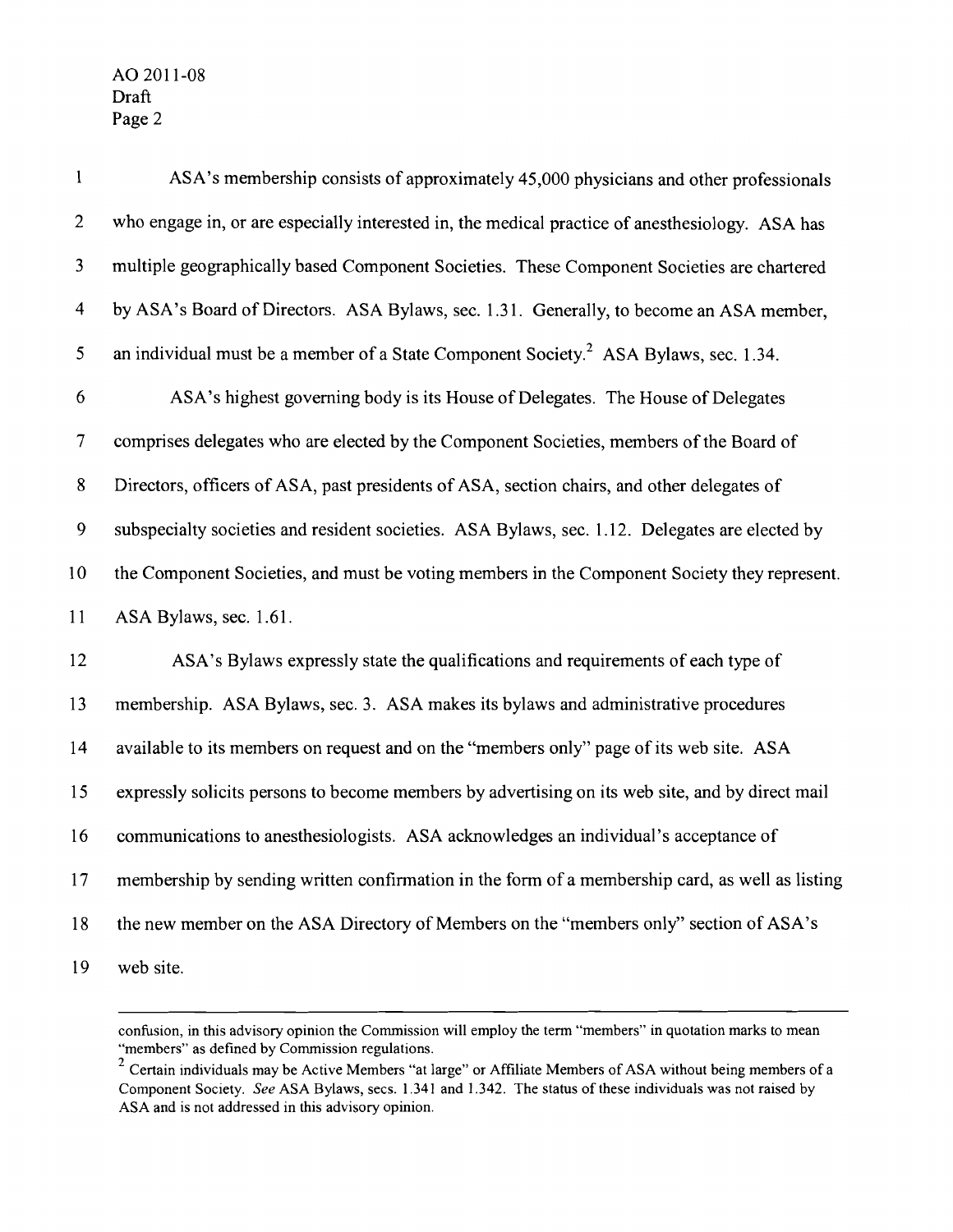| $\mathbf{1}$            | ASA's membership consists of approximately 45,000 physicians and other professionals             |
|-------------------------|--------------------------------------------------------------------------------------------------|
| $\overline{2}$          | who engage in, or are especially interested in, the medical practice of anesthesiology. ASA has  |
| $\mathfrak{Z}$          | multiple geographically based Component Societies. These Component Societies are chartered       |
| $\overline{\mathbf{4}}$ | by ASA's Board of Directors. ASA Bylaws, sec. 1.31. Generally, to become an ASA member,          |
| 5                       | an individual must be a member of a State Component Society. <sup>2</sup> ASA Bylaws, sec. 1.34. |
| 6                       | ASA's highest governing body is its House of Delegates. The House of Delegates                   |
| $\tau$                  | comprises delegates who are elected by the Component Societies, members of the Board of          |
| $8\,$                   | Directors, officers of ASA, past presidents of ASA, section chairs, and other delegates of       |
| 9                       | subspecialty societies and resident societies. ASA Bylaws, sec. 1.12. Delegates are elected by   |
| 10                      | the Component Societies, and must be voting members in the Component Society they represent.     |
| 11                      | ASA Bylaws, sec. 1.61.                                                                           |
| 12                      | ASA's Bylaws expressly state the qualifications and requirements of each type of                 |
| 13                      | membership. ASA Bylaws, sec. 3. ASA makes its bylaws and administrative procedures               |
| 14                      | available to its members on request and on the "members only" page of its web site. ASA          |
| 15                      | expressly solicits persons to become members by advertising on its web site, and by direct mail  |
| 16                      | communications to anesthesiologists. ASA acknowledges an individual's acceptance of              |
| 17                      | membership by sending written confirmation in the form of a membership card, as well as listing  |
| 18                      | the new member on the ASA Directory of Members on the "members only" section of ASA's            |
| 19                      | web site.                                                                                        |

confusion, in this advisory opinion the Commission will employ the tenn "members" in quotation marks to mean "members" as defined by Commission regulations.

 $2<sup>2</sup>$  Certain individuals may be Active Members "at large" or Affiliate Members of ASA without being members of a Component Society. *See* ASA Bylaws, sees. 1.341 and 1.342. The status of these individuals was not raised by ASA and is not addressed in this advisory opinion.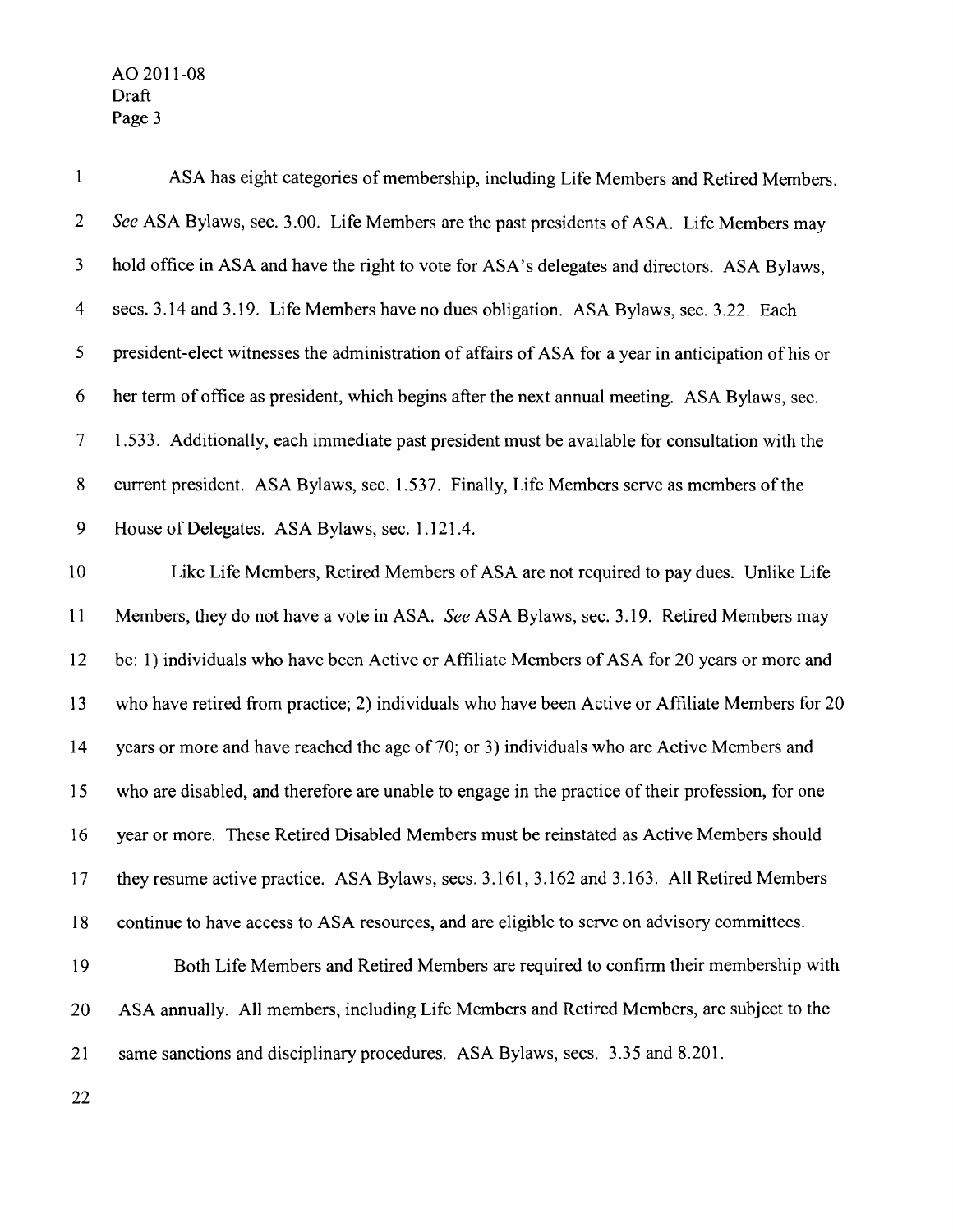| $\mathbf{1}$   | ASA has eight categories of membership, including Life Members and Retired Members.                 |
|----------------|-----------------------------------------------------------------------------------------------------|
| $\overline{2}$ | See ASA Bylaws, sec. 3.00. Life Members are the past presidents of ASA. Life Members may            |
| 3              | hold office in ASA and have the right to vote for ASA's delegates and directors. ASA Bylaws,        |
| 4              | secs. 3.14 and 3.19. Life Members have no dues obligation. ASA Bylaws, sec. 3.22. Each              |
| 5              | president-elect witnesses the administration of affairs of ASA for a year in anticipation of his or |
| 6              | her term of office as president, which begins after the next annual meeting. ASA Bylaws, sec.       |
| $\overline{7}$ | 1.533. Additionally, each immediate past president must be available for consultation with the      |
| $8\phantom{.}$ | current president. ASA Bylaws, sec. 1.537. Finally, Life Members serve as members of the            |
| 9              | House of Delegates. ASA Bylaws, sec. 1.121.4.                                                       |
| 10             | Like Life Members, Retired Members of ASA are not required to pay dues. Unlike Life                 |
| 11             | Members, they do not have a vote in ASA. See ASA Bylaws, sec. 3.19. Retired Members may             |
| 12             | be: 1) individuals who have been Active or Affiliate Members of ASA for 20 years or more and        |
| 13             | who have retired from practice; 2) individuals who have been Active or Affiliate Members for 20     |
| 14             | years or more and have reached the age of 70; or 3) individuals who are Active Members and          |
| 15             | who are disabled, and therefore are unable to engage in the practice of their profession, for one   |
| 16             | year or more. These Retired Disabled Members must be reinstated as Active Members should            |
| 17             | they resume active practice. ASA Bylaws, secs. 3.161, 3.162 and 3.163. All Retired Members          |
| 18             | continue to have access to ASA resources, and are eligible to serve on advisory committees.         |
| 19             | Both Life Members and Retired Members are required to confirm their membership with                 |
| 20             | ASA annually. All members, including Life Members and Retired Members, are subject to the           |
| 21             | same sanctions and disciplinary procedures. ASA Bylaws, secs. 3.35 and 8.201.                       |
|                |                                                                                                     |

22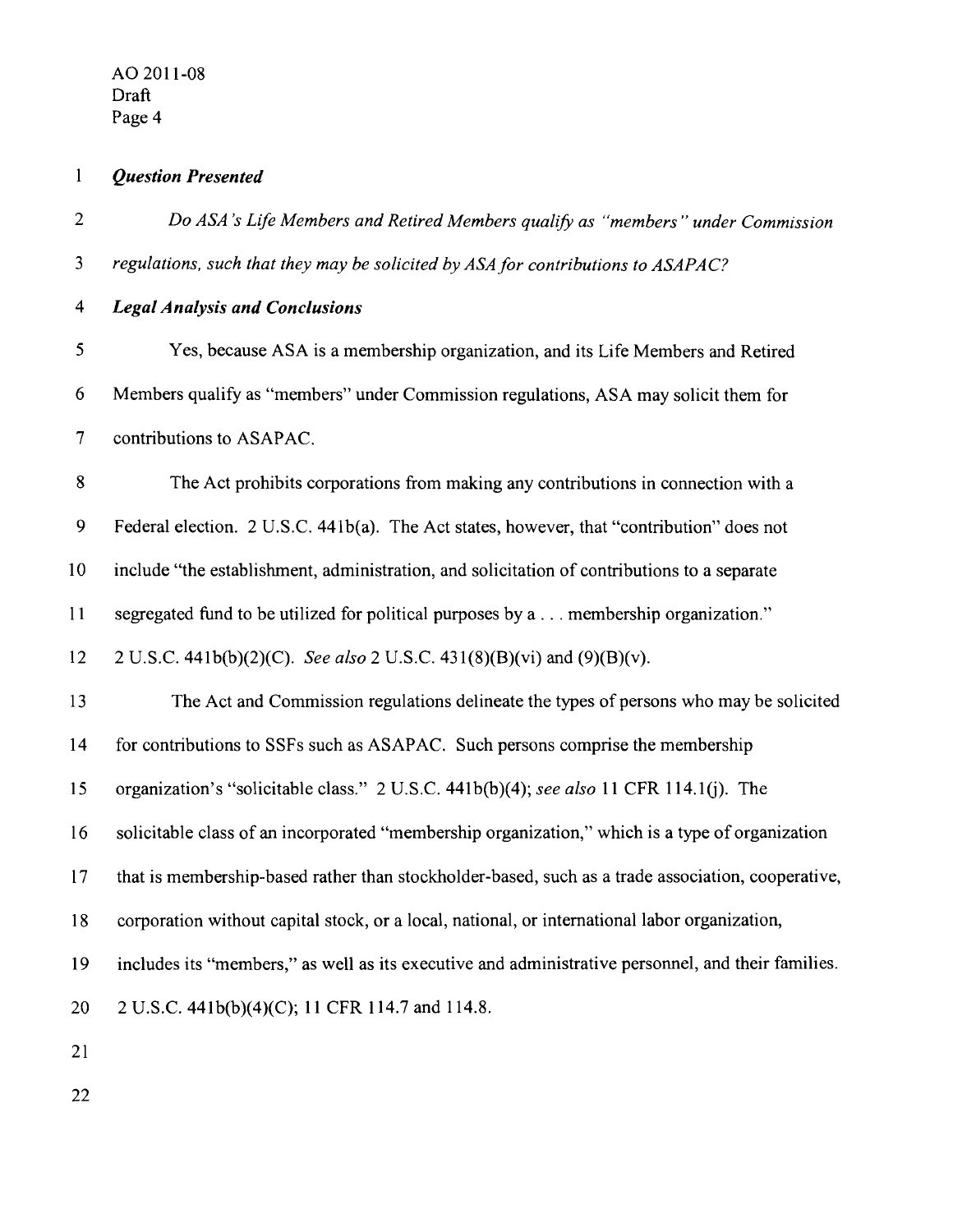$\mathbf{1}$ 

*Question Presented* 

- *2 Do ASA 's Life Members and Retired Members qualify as "members" under Commission 3 regulations, such that they may be solicited by ASAfor contributions to ASAPAC? 4 Legal Analysis and Conclusions*  5 Yes, because ASA is a membership organization, and its Life Members and Retired 6 Members qualify as "members" under Commission regulations, ASA may solicit them for 7 contributions to ASAPAC. 8 The Act prohibits corporations from making any contributions in connection with a 9 Federal election. 2 U.S.C. 441b(a). The Act states, however, that "contribution" does not 10 include "the establishment, administration, and solicitation of contributions to a separate 11 segregated fund to be utilized for political purposes by a ... membership organization." 12 2 U.S.c. 441b(b)(2)(C). *See also* 2 U.S.C. 431(8)(B)(vi) and (9)(B)(v). 13 The Act and Commission regulations delineate the types of persons who may be solicited 14 for contributions to SSFs such as ASAPAC. Such persons comprise the membership 15 organization's "solicitable class." 2 U.S.C. 441b(b)(4); *see also* 11 CFR 114.1(j). The 16 solicitable class of an incorporated "membership organization," which is a type of organization 17 that is membership-based rather than stockholder-based, such as a trade association, cooperative, 18 corporation without capital stock, or a local, national, or international labor organization, 19 includes its "members," as well as its executive and administrative personnel, and their families. 20 2 U.S.C. 441b(b)(4)(C); 11 CFR 114.7 and 114.8. 21
- 22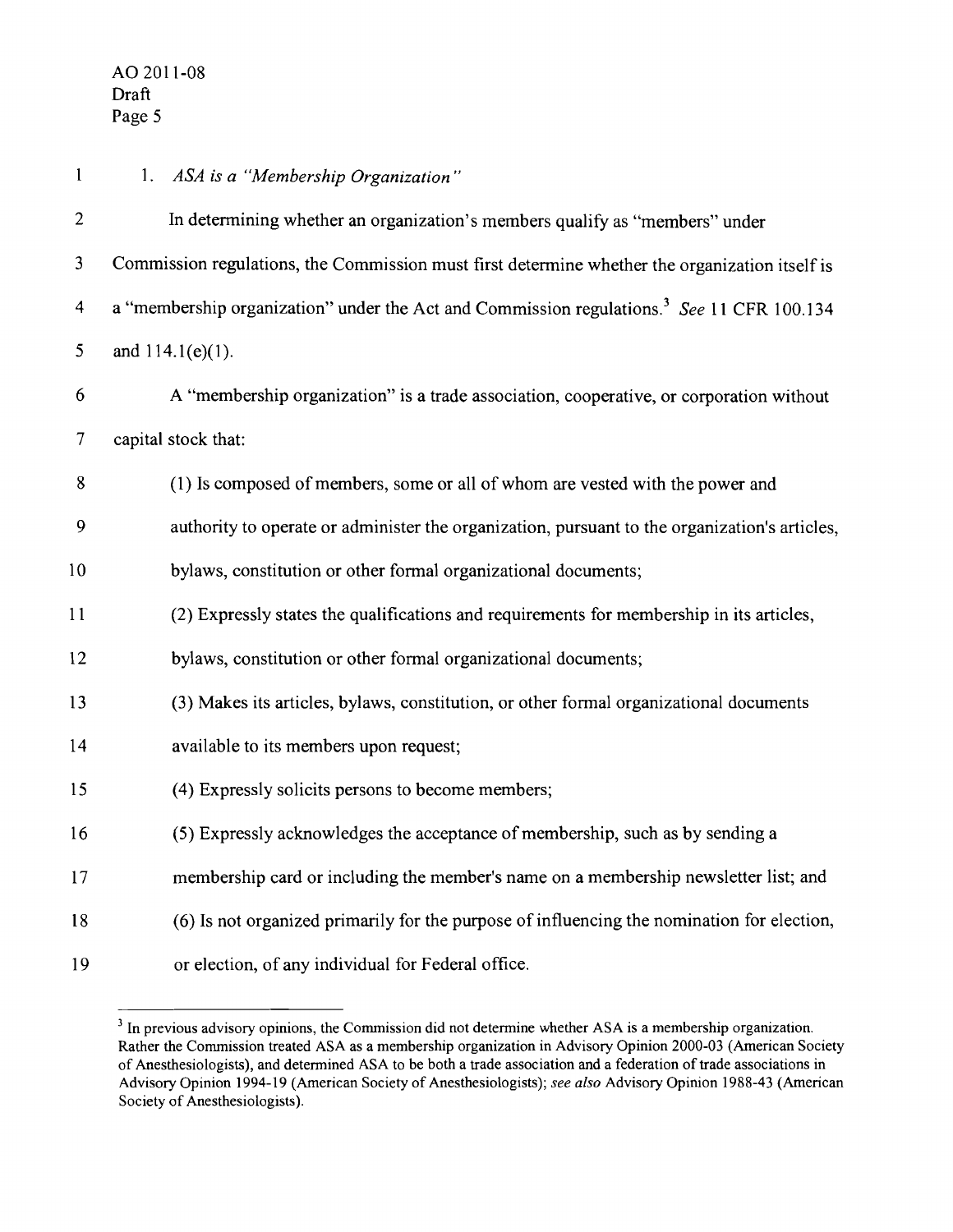| $\mathbf{1}$            | 1. ASA is a "Membership Organization"                                                                 |
|-------------------------|-------------------------------------------------------------------------------------------------------|
| $\overline{2}$          | In determining whether an organization's members qualify as "members" under                           |
| 3                       | Commission regulations, the Commission must first determine whether the organization itself is        |
| $\overline{\mathbf{4}}$ | a "membership organization" under the Act and Commission regulations. <sup>3</sup> See 11 CFR 100.134 |
| 5                       | and $114.1(e)(1)$ .                                                                                   |
| 6                       | A "membership organization" is a trade association, cooperative, or corporation without               |
| $\overline{7}$          | capital stock that:                                                                                   |
| 8                       | (1) Is composed of members, some or all of whom are vested with the power and                         |
| 9                       | authority to operate or administer the organization, pursuant to the organization's articles,         |
| 10                      | bylaws, constitution or other formal organizational documents;                                        |
| 11                      | (2) Expressly states the qualifications and requirements for membership in its articles,              |
| 12                      | bylaws, constitution or other formal organizational documents;                                        |
| 13                      | (3) Makes its articles, bylaws, constitution, or other formal organizational documents                |
| 14                      | available to its members upon request;                                                                |
| 15                      | (4) Expressly solicits persons to become members;                                                     |
| 16                      | (5) Expressly acknowledges the acceptance of membership, such as by sending a                         |
| 17                      | membership card or including the member's name on a membership newsletter list; and                   |
| 18                      | (6) Is not organized primarily for the purpose of influencing the nomination for election,            |
| 19                      | or election, of any individual for Federal office.                                                    |

<sup>&</sup>lt;sup>3</sup> In previous advisory opinions, the Commission did not determine whether ASA is a membership organization. Rather the Commission treated ASA as a membership organization in Advisory Opinion 2000-03 (American Society of Anesthesiologists), and detennined ASA to be both a trade association and a federation of trade associations in Advisory Opinion 1994-19 (American Society of Anesthesiologists); *see also* Advisory Opinion 1988-43 (American Society of Anesthesiologists).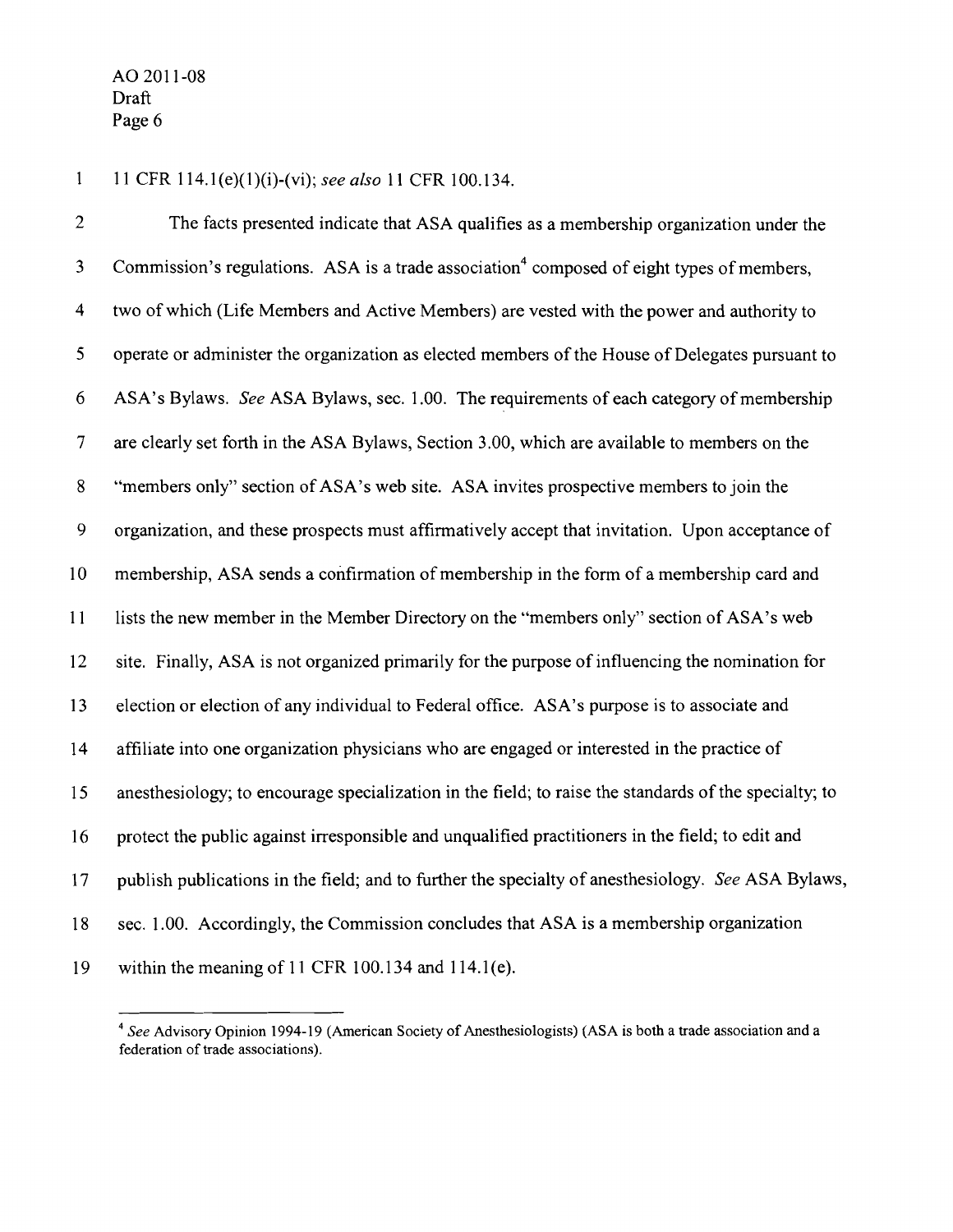$\mathbf{1}$ 11 CFR 114.1(e)(l)(i)-(vi); *see also* 11 CFR 100.134.

2 The facts presented indicate that ASA qualifies as a membership organization under the 3 Commission's regulations. ASA is a trade association<sup>4</sup> composed of eight types of members, 4 two of which (Life Members and Active Members) are vested with the power and authority to 5 operate or administer the organization as elected members of the House of Delegates pursuant to 6 ASA's Bylaws. *See* ASA Bylaws, sec. 1.00. The requirements of each category of membership 7 are clearly set forth in the ASA Bylaws, Section 3.00, which are available to members on the 8 "members only" section of ASA's web site. ASA invites prospective members to join the 9 organization, and these prospects must affirmatively accept that invitation. Upon acceptance of 10 membership, ASA sends a confirmation of membership in the form of a membership card and 11 lists the new member in the Member Directory on the "members only" section of ASA's web 12 site. Finally, ASA is not organized primarily for the purpose of influencing the nomination for 13 election or election of any individual to Federal office. ASA's purpose is to associate and 14 affiliate into one organization physicians who are engaged or interested in the practice of 15 anesthesiology; to encourage specialization in the field; to raise the standards of the specialty; to 16 protect the public against irresponsible and unqualified practitioners in the field; to edit and 17 publish publications in the field; and to further the specialty of anesthesiology. *See* ASA Bylaws, 18 sec. 1.00. Accordingly, the Commission concludes that ASA is a membership organization 19 within the meaning of **11** CFR 100.134 and 114.1 (e).

*<sup>4</sup> See* Advisory Opinion 1994-19 (American Society of Anesthesiologists) (ASA is both a trade association and a federation of trade associations).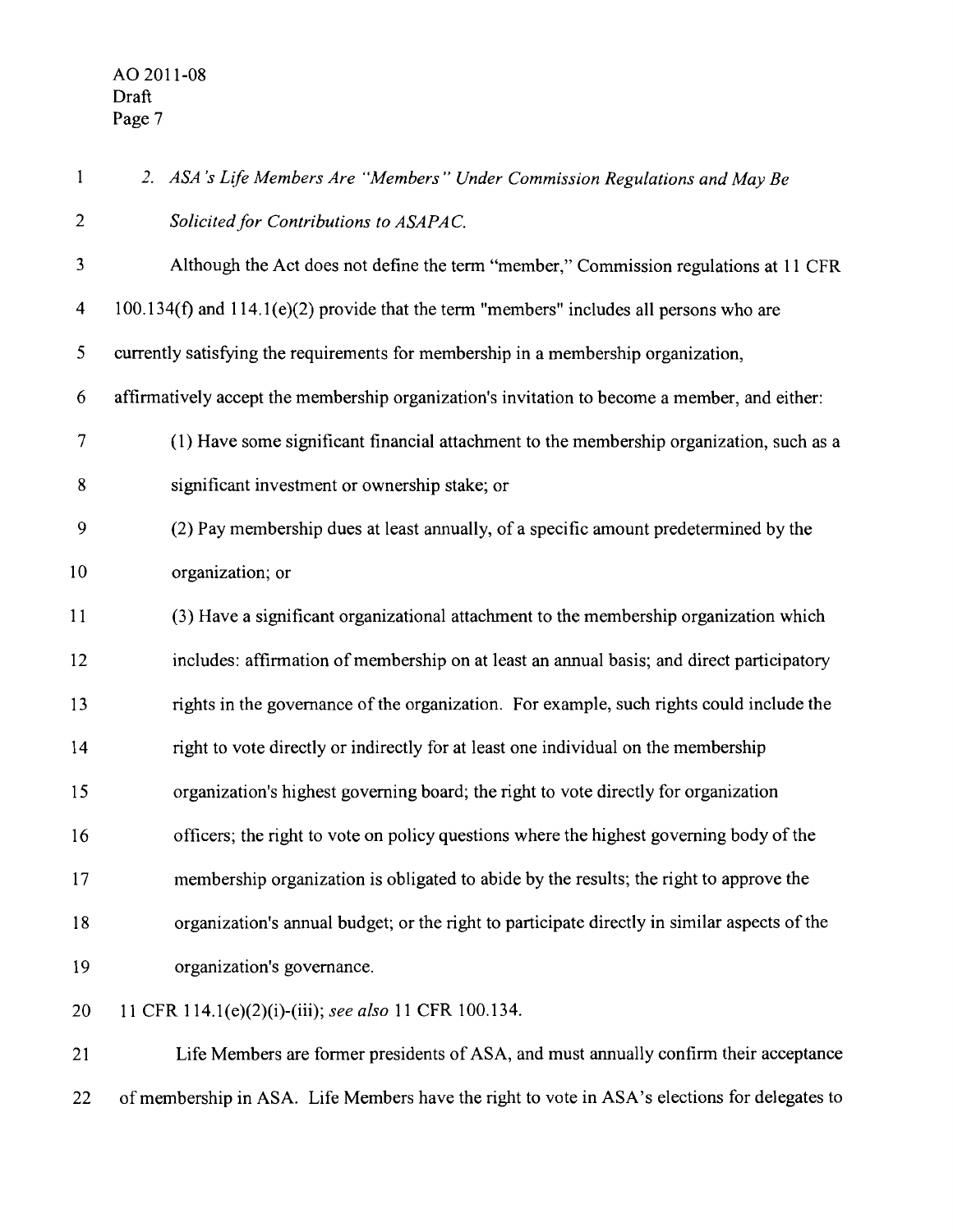| $\mathbf{1}$            | 2. ASA's Life Members Are "Members" Under Commission Regulations and May Be                   |
|-------------------------|-----------------------------------------------------------------------------------------------|
| $\overline{c}$          | Solicited for Contributions to ASAPAC.                                                        |
| 3                       | Although the Act does not define the term "member," Commission regulations at 11 CFR          |
| $\overline{\mathbf{4}}$ | $100.134(f)$ and $114.1(e)(2)$ provide that the term "members" includes all persons who are   |
| 5                       | currently satisfying the requirements for membership in a membership organization,            |
| 6                       | affirmatively accept the membership organization's invitation to become a member, and either: |
| 7                       | (1) Have some significant financial attachment to the membership organization, such as a      |
| 8                       | significant investment or ownership stake; or                                                 |
| 9                       | (2) Pay membership dues at least annually, of a specific amount predetermined by the          |
| 10                      | organization; or                                                                              |
| 11                      | (3) Have a significant organizational attachment to the membership organization which         |
| 12                      | includes: affirmation of membership on at least an annual basis; and direct participatory     |
| 13                      | rights in the governance of the organization. For example, such rights could include the      |
| 14                      | right to vote directly or indirectly for at least one individual on the membership            |
| 15                      | organization's highest governing board; the right to vote directly for organization           |
| 16                      | officers; the right to vote on policy questions where the highest governing body of the       |
| 17                      | membership organization is obligated to abide by the results; the right to approve the        |
| 18                      | organization's annual budget; or the right to participate directly in similar aspects of the  |
| 19                      | organization's governance.                                                                    |
| 20                      | 11 CFR 114.1(e)(2)(i)-(iii); see also 11 CFR 100.134.                                         |
| 21                      | Life Members are former presidents of ASA, and must annually confirm their acceptance         |
|                         |                                                                                               |

22 of membership in ASA. Life Members have the right to vote in ASA's elections for delegates to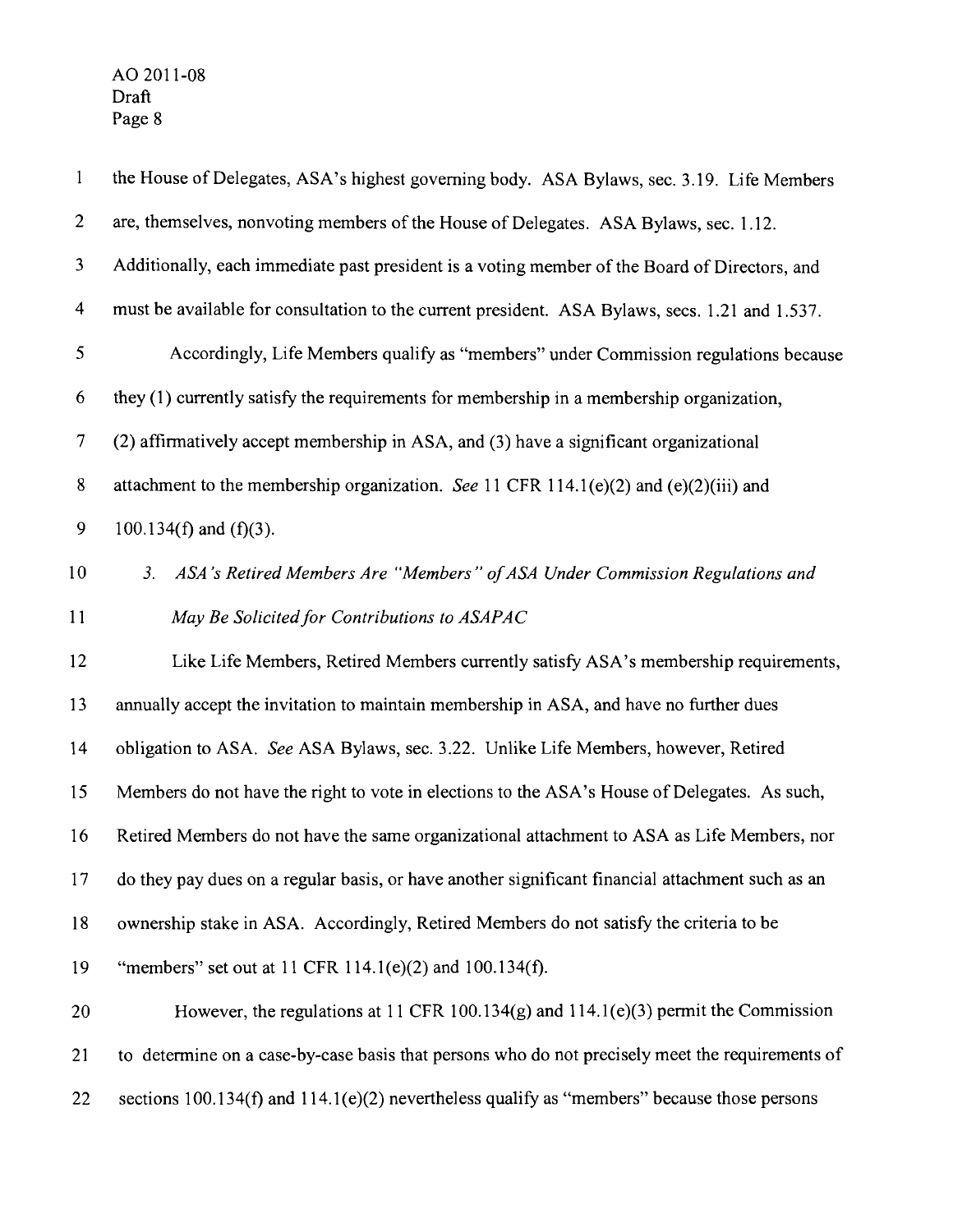| $\mathbf{1}$   | the House of Delegates, ASA's highest governing body. ASA Bylaws, sec. 3.19. Life Members        |
|----------------|--------------------------------------------------------------------------------------------------|
| $\overline{c}$ | are, themselves, nonvoting members of the House of Delegates. ASA Bylaws, sec. 1.12.             |
| $\mathbf{3}$   | Additionally, each immediate past president is a voting member of the Board of Directors, and    |
| 4              | must be available for consultation to the current president. ASA Bylaws, secs. 1.21 and 1.537.   |
| 5              | Accordingly, Life Members qualify as "members" under Commission regulations because              |
| 6              | they (1) currently satisfy the requirements for membership in a membership organization,         |
| 7              | (2) affirmatively accept membership in ASA, and (3) have a significant organizational            |
| 8              | attachment to the membership organization. See 11 CFR 114.1(e)(2) and (e)(2)(iii) and            |
| 9              | 100.134(f) and $(f)(3)$ .                                                                        |
| 10             | ASA's Retired Members Are "Members" of ASA Under Commission Regulations and<br>3.                |
| 11             | May Be Solicited for Contributions to ASAPAC                                                     |
| 12             | Like Life Members, Retired Members currently satisfy ASA's membership requirements,              |
| 13             | annually accept the invitation to maintain membership in ASA, and have no further dues           |
| 14             | obligation to ASA. See ASA Bylaws, sec. 3.22. Unlike Life Members, however, Retired              |
| 15             | Members do not have the right to vote in elections to the ASA's House of Delegates. As such,     |
| 16             | Retired Members do not have the same organizational attachment to ASA as Life Members, nor       |
| 17             | do they pay dues on a regular basis, or have another significant financial attachment such as an |
| 18             | ownership stake in ASA. Accordingly, Retired Members do not satisfy the criteria to be           |
| 19             | "members" set out at 11 CFR 114.1(e)(2) and $100.134(f)$ .                                       |
| 20             | However, the regulations at 11 CFR 100.134 $(g)$ and 114.1 $(e)(3)$ permit the Commission        |
| 21             | to determine on a case-by-case basis that persons who do not precisely meet the requirements of  |
| 22             | sections $100.134(f)$ and $114.1(e)(2)$ nevertheless qualify as "members" because those persons  |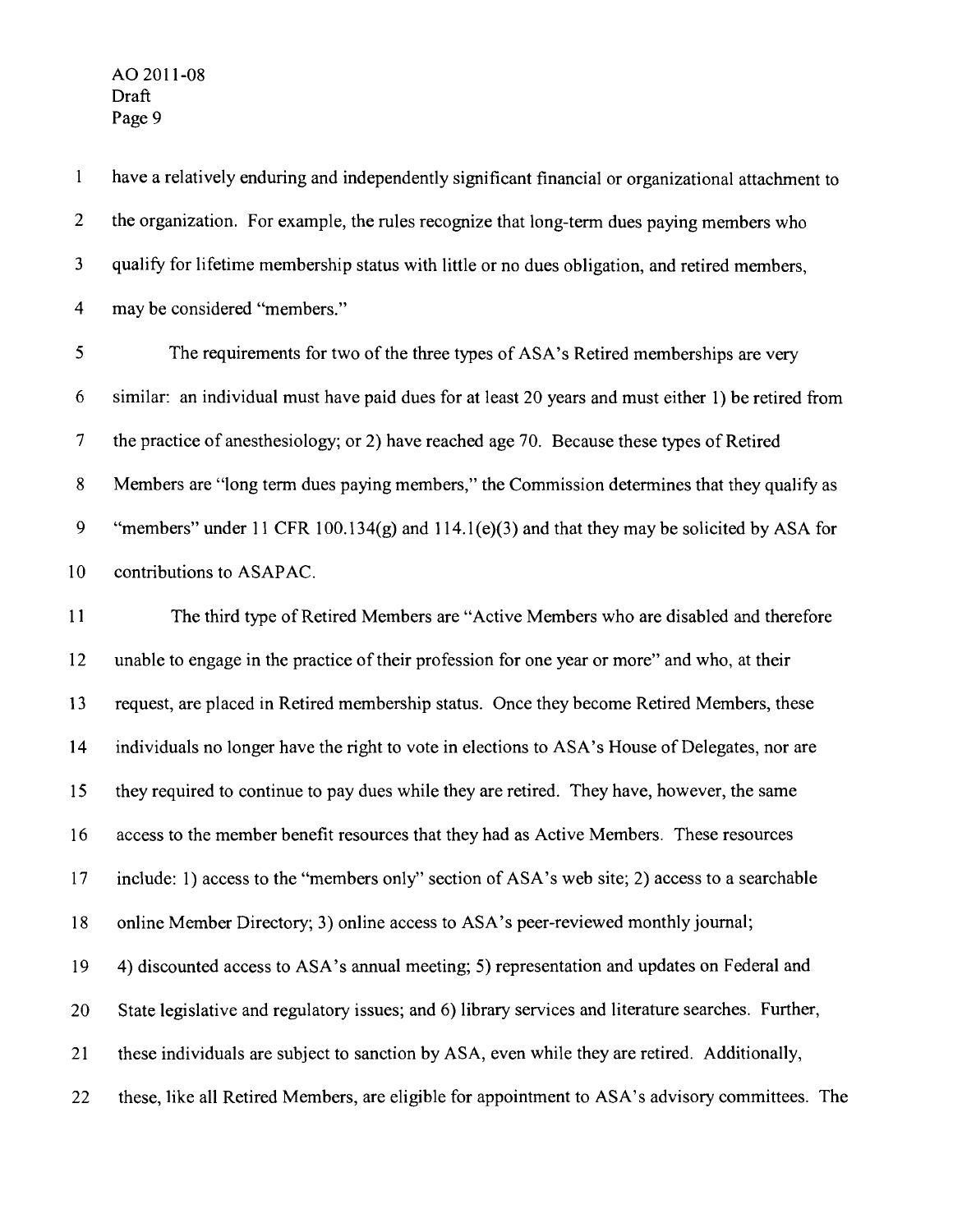$\mathbf{1}$ have a relatively enduring and independently significant financial or organizational attachment to 2 the organization. For example, the rules recognize that long-term dues paying members who 3 qualify for lifetime membership status with little or no dues obligation, and retired members, 4 may be considered "members."

5 The requirements for two of the three types of ASA's Retired memberships are very 6 similar: an individual must have paid dues for at least 20 years and must either I) be retired from 7 the practice of anesthesiology; or 2) have reached age 70. Because these types of Retired 8 Members are "long term dues paying members," the Commission determines that they qualify as 9 "members" under **II** CFR 100. 134(g) and 114.1 (e)(3) and that they may be solicited by ASA for 10 contributions to ASAPAC.

**II** The third type of Retired Members are "Active Members who are disabled and therefore 12 unable to engage in the practice of their profession for one year or more" and who, at their 13 request, are placed in Retired membership status. Once they become Retired Members, these 14 individuals no longer have the right to vote in elections to ASA's House of Delegates, nor are 15 they required to continue to pay dues while they are retired. They have, however, the same 16 access to the member benefit resources that they had as Active Members. These resources 17 include: I) access to the "members only" section of ASA's web site; 2) access to a searchable 18 online Member Directory; 3) online access to ASA's peer-reviewed monthly journal; 19 4) discounted access to ASA's annual meeting; 5) representation and updates on Federal and 20 State legislative and regulatory issues; and 6) library services and literature searches. Further, 21 these individuals are subject to sanction by ASA, even while they are retired. Additionally, 22 these, like all Retired Members, are eligible for appointment to ASA's advisory committees. The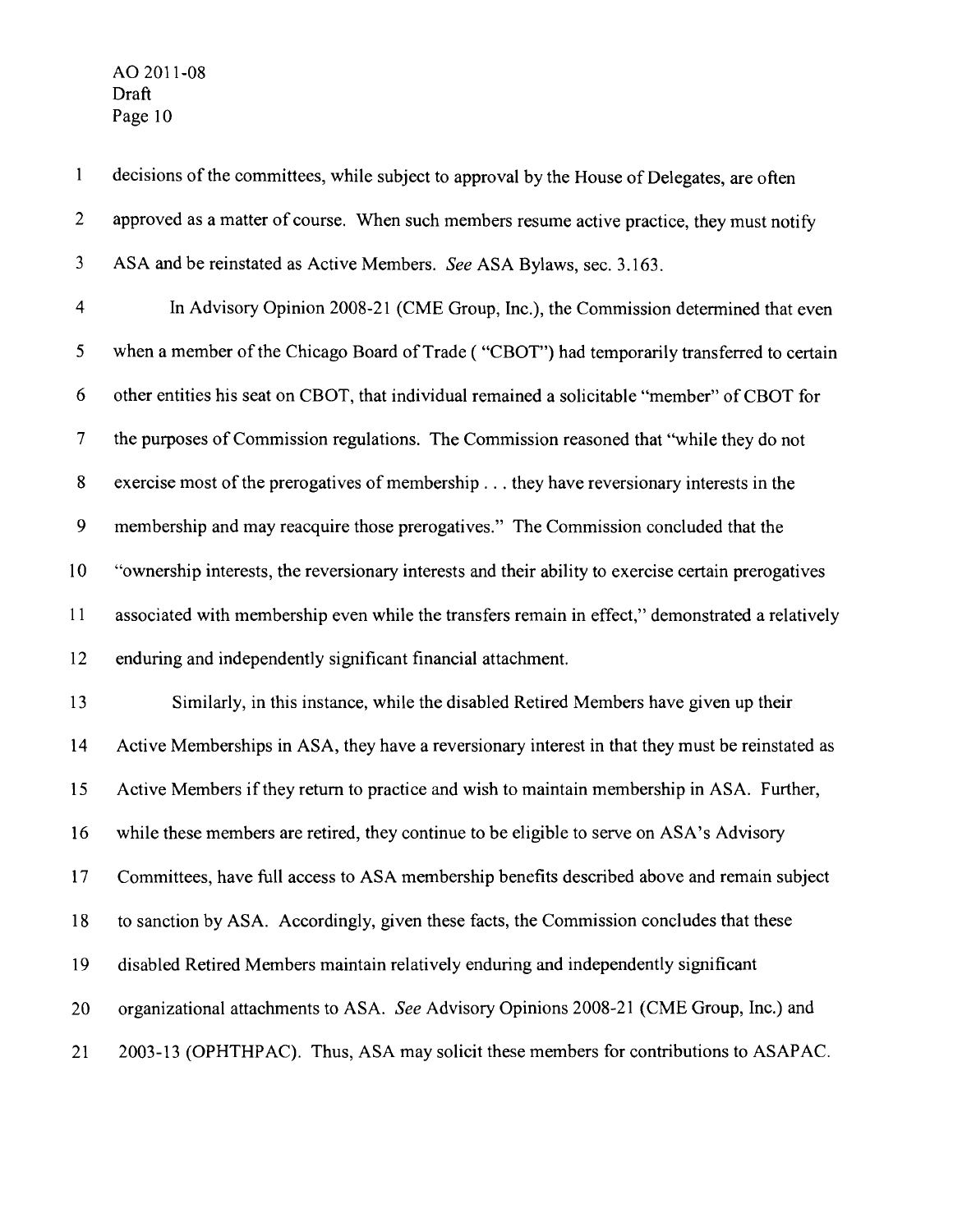AO 2011-08 Draft

 $\mathbf{1}$ decisions of the committees, while subject to approval by the House of Delegates, are often 2 approved as a matter of course. When such members resume active practice, they must notify 3 ASA and be reinstated as Active Members. *See* ASA Bylaws, sec. 3.163. 4 In Advisory Opinion 2008-21 (CME Group, Inc.), the Commission determined that even 5 when a member of the Chicago Board of Trade ( "CBOT") had temporarily transferred to certain 6 other entities his seat on CBOT, that individual remained a solicitable "member" of CBOT for 7 the purposes of Commission regulations. The Commission reasoned that "while they do not 8 exercise most of the prerogatives of membership ... they have reversionary interests in the 9 membership and may reacquire those prerogatives." The Commission concluded that the 10 "ownership interests, the reversionary interests and their ability to exercise certain prerogatives 11 associated with membership even while the transfers remain in effect," demonstrated a relatively 12 enduring and independently significant financial attachment. 13 Similarly, in this instance, while the disabled Retired Members have given up their 14 Active Memberships in ASA, they have a reversionary interest in that they must be reinstated as 15 Active Members if they return to practice and wish to maintain membership in ASA. Further, 16 while these members are retired, they continue to be eligible to serve on ASA's Advisory 17 Committees, have full access to ASA membership benefits described above and remain subject 18 to sanction by ASA. Accordingly, given these facts, the Commission concludes that these 19 disabled Retired Members maintain relatively enduring and independently significant 20 organizational attachments to ASA. *See* Advisory Opinions 2008-21 (CME Group, Inc.) and 21 2003-13 (OPHTHPAC). Thus, ASA may solicit these members for contributions to ASAPAC.

Page 10